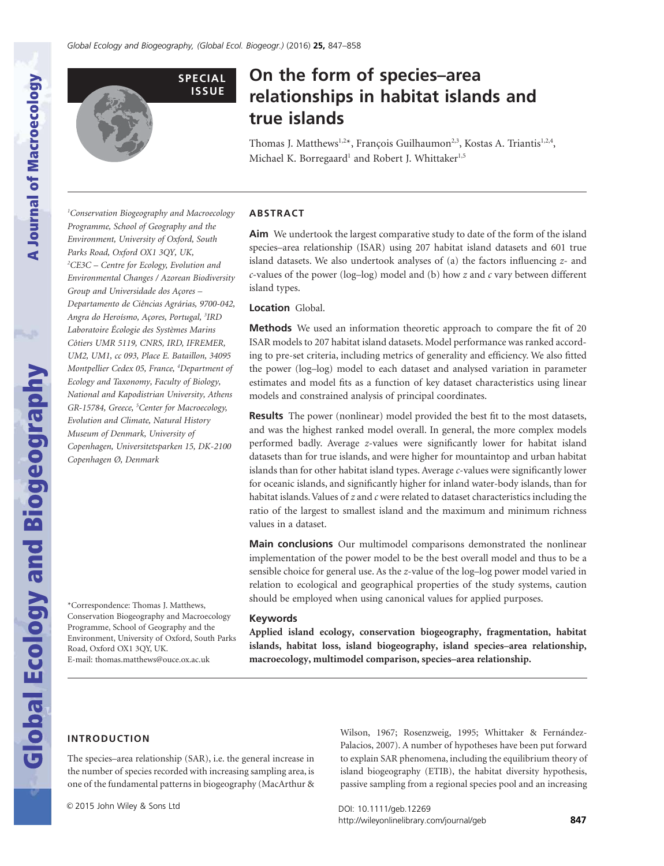

# **On the form of species–area relationships in habitat islands and true islands**

Thomas J. Matthews<sup>1,2\*</sup>, François Guilhaumon<sup>2,3</sup>, Kostas A. Triantis<sup>1,2,4</sup>, Michael K. Borregaard<sup>1</sup> and Robert J. Whittaker<sup>1,5</sup>

*1 Conservation Biogeography and Macroecology Programme, School of Geography and the Environment, University of Oxford, South Parks Road, Oxford OX1 3QY, UK, 2 CE3C – Centre for Ecology, Evolution and Environmental Changes / Azorean Biodiversity Group and Universidade dos Açores – Departamento de Ciências Agrárias, 9700-042, Angra do Heroísmo, Açores, Portugal, <sup>3</sup> IRD Laboratoire Écologie des Systèmes Marins Côtiers UMR 5119, CNRS, IRD, IFREMER, UM2, UM1, cc 093, Place E. Bataillon, 34095 Montpellier Cedex 05, France, <sup>4</sup> Department of Ecology and Taxonomy, Faculty of Biology, National and Kapodistrian University, Athens GR-15784, Greece, <sup>5</sup> Center for Macroecology, Evolution and Climate, Natural History Museum of Denmark, University of Copenhagen, Universitetsparken 15, DK-2100 Copenhagen Ø, Denmark*

## **ABSTRACT**

**Aim** We undertook the largest comparative study to date of the form of the island species–area relationship (ISAR) using 207 habitat island datasets and 601 true island datasets. We also undertook analyses of (a) the factors influencing *z*- and *c*-values of the power (log–log) model and (b) how *z* and *c* vary between different island types.

**Location** Global.

**Methods** We used an information theoretic approach to compare the fit of 20 ISAR models to 207 habitat island datasets. Model performance was ranked according to pre-set criteria, including metrics of generality and efficiency. We also fitted the power (log–log) model to each dataset and analysed variation in parameter estimates and model fits as a function of key dataset characteristics using linear models and constrained analysis of principal coordinates.

**Results** The power (nonlinear) model provided the best fit to the most datasets, and was the highest ranked model overall. In general, the more complex models performed badly. Average *z*-values were significantly lower for habitat island datasets than for true islands, and were higher for mountaintop and urban habitat islands than for other habitat island types. Average *c*-values were significantly lower for oceanic islands, and significantly higher for inland water-body islands, than for habitat islands. Values of *z* and *c* were related to dataset characteristics including the ratio of the largest to smallest island and the maximum and minimum richness values in a dataset.

**Main conclusions** Our multimodel comparisons demonstrated the nonlinear implementation of the power model to be the best overall model and thus to be a sensible choice for general use. As the *z*-value of the log–log power model varied in relation to ecological and geographical properties of the study systems, caution should be employed when using canonical values for applied purposes.

**Keywords**

**Applied island ecology, conservation biogeography, fragmentation, habitat islands, habitat loss, island biogeography, island species–area relationship, macroecology, multimodel comparison, species–area relationship.**

\*Correspondence: Thomas J. Matthews, Conservation Biogeography and Macroecology Programme, School of Geography and the Environment, University of Oxford, South Parks Road, Oxford OX1 3QY, UK. E-mail: thomas.matthews@ouce.ox.ac.uk

# **INTRODUCTION**

The species–area relationship (SAR), i.e. the general increase in the number of species recorded with increasing sampling area, is one of the fundamental patterns in biogeography (MacArthur &

**A Journal of Macroecology**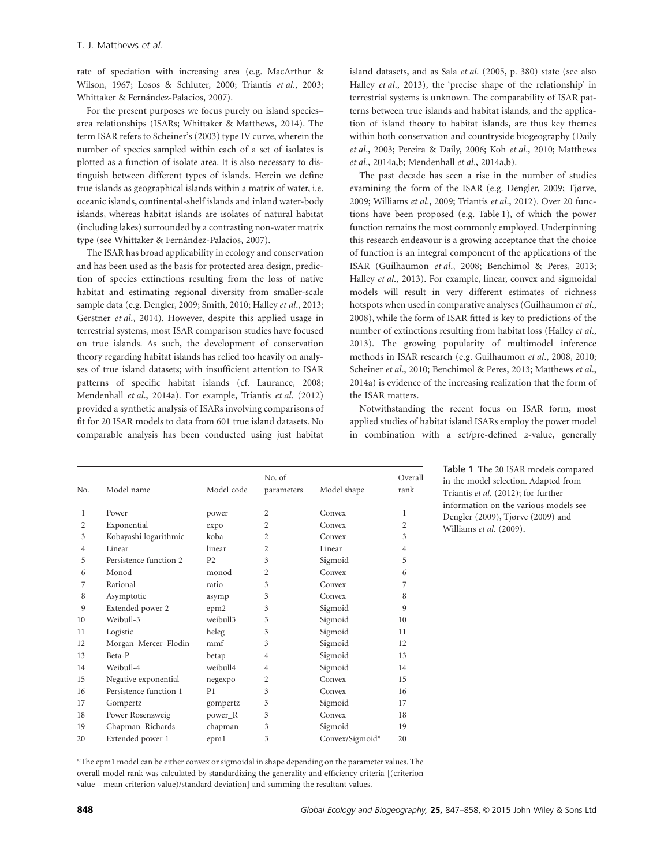rate of speciation with increasing area (e.g. MacArthur & Wilson, 1967; Losos & Schluter, 2000; Triantis *et al*., 2003; Whittaker & Fernández-Palacios, 2007).

For the present purposes we focus purely on island species– area relationships (ISARs; Whittaker & Matthews, 2014). The term ISAR refers to Scheiner's (2003) type IV curve, wherein the number of species sampled within each of a set of isolates is plotted as a function of isolate area. It is also necessary to distinguish between different types of islands. Herein we define true islands as geographical islands within a matrix of water, i.e. oceanic islands, continental-shelf islands and inland water-body islands, whereas habitat islands are isolates of natural habitat (including lakes) surrounded by a contrasting non-water matrix type (see Whittaker & Fernández-Palacios, 2007).

The ISAR has broad applicability in ecology and conservation and has been used as the basis for protected area design, prediction of species extinctions resulting from the loss of native habitat and estimating regional diversity from smaller-scale sample data (e.g. Dengler, 2009; Smith, 2010; Halley *et al*., 2013; Gerstner *et al*., 2014). However, despite this applied usage in terrestrial systems, most ISAR comparison studies have focused on true islands. As such, the development of conservation theory regarding habitat islands has relied too heavily on analyses of true island datasets; with insufficient attention to ISAR patterns of specific habitat islands (cf. Laurance, 2008; Mendenhall *et al*., 2014a). For example, Triantis *et al*. (2012) provided a synthetic analysis of ISARs involving comparisons of fit for 20 ISAR models to data from 601 true island datasets. No comparable analysis has been conducted using just habitat island datasets, and as Sala *et al*. (2005, p. 380) state (see also Halley *et al*., 2013), the 'precise shape of the relationship' in terrestrial systems is unknown. The comparability of ISAR patterns between true islands and habitat islands, and the application of island theory to habitat islands, are thus key themes within both conservation and countryside biogeography (Daily *et al*., 2003; Pereira & Daily, 2006; Koh *et al*., 2010; Matthews *et al*., 2014a,b; Mendenhall *et al*., 2014a,b).

The past decade has seen a rise in the number of studies examining the form of the ISAR (e.g. Dengler, 2009; Tjørve, 2009; Williams *et al*., 2009; Triantis *et al*., 2012). Over 20 functions have been proposed (e.g. Table 1), of which the power function remains the most commonly employed. Underpinning this research endeavour is a growing acceptance that the choice of function is an integral component of the applications of the ISAR (Guilhaumon *et al*., 2008; Benchimol & Peres, 2013; Halley *et al*., 2013). For example, linear, convex and sigmoidal models will result in very different estimates of richness hotspots when used in comparative analyses (Guilhaumon *et al*., 2008), while the form of ISAR fitted is key to predictions of the number of extinctions resulting from habitat loss (Halley *et al*., 2013). The growing popularity of multimodel inference methods in ISAR research (e.g. Guilhaumon *et al*., 2008, 2010; Scheiner *et al*., 2010; Benchimol & Peres, 2013; Matthews *et al*., 2014a) is evidence of the increasing realization that the form of the ISAR matters.

Notwithstanding the recent focus on ISAR form, most applied studies of habitat island ISARs employ the power model in combination with a set/pre-defined *z*-value, generally

| No.            | Model name             | Model code     | No. of<br>parameters | Model shape     | Overall<br>rank |
|----------------|------------------------|----------------|----------------------|-----------------|-----------------|
| $\mathbf{1}$   | Power                  | power          | $\overline{2}$       | Convex          | 1               |
| $\overline{c}$ | Exponential            | expo           | 2                    | Convex          | $\overline{c}$  |
| 3              | Kobayashi logarithmic  | koba           | 2                    | Convex          | 3               |
| $\overline{4}$ | Linear                 | linear         | $\overline{c}$       | Linear          | $\overline{4}$  |
| 5              | Persistence function 2 | P <sub>2</sub> | 3                    | Sigmoid         | 5               |
| 6              | Monod                  | monod          | $\overline{c}$       | Convex          | 6               |
| 7              | Rational               | ratio          | 3                    | Convex          | 7               |
| 8              | Asymptotic             | asymp          | 3                    | Convex          | 8               |
| 9              | Extended power 2       | epm2           | 3                    | Sigmoid         | 9               |
| 10             | Weibull-3              | weibull3       | 3                    | Sigmoid         | 10              |
| 11             | Logistic               | heleg          | 3                    | Sigmoid         | 11              |
| 12             | Morgan-Mercer-Flodin   | mmf            | 3                    | Sigmoid         | 12              |
| 13             | Beta-P                 | betap          | $\overline{4}$       | Sigmoid         | 13              |
| 14             | Weibull-4              | weibull4       | $\overline{4}$       | Sigmoid         | 14              |
| 15             | Negative exponential   | negexpo        | 2                    | Convex          | 15              |
| 16             | Persistence function 1 | P <sub>1</sub> | 3                    | Convex          | 16              |
| 17             | Gompertz               | gompertz       | 3                    | Sigmoid         | 17              |
| 18             | Power Rosenzweig       | power_R        | 3                    | Convex          | 18              |
| 19             | Chapman-Richards       | chapman        | 3                    | Sigmoid         | 19              |
| 20             | Extended power 1       | epml           | 3                    | Convex/Sigmoid* | 20              |

Table 1 The 20 ISAR models compared in the model selection. Adapted from Triantis *et al*. (2012); for further information on the various models see Dengler (2009), Tjørve (2009) and Williams *et al*. (2009).

\*The epm1 model can be either convex or sigmoidal in shape depending on the parameter values. The overall model rank was calculated by standardizing the generality and efficiency criteria [(criterion value – mean criterion value)/standard deviation] and summing the resultant values.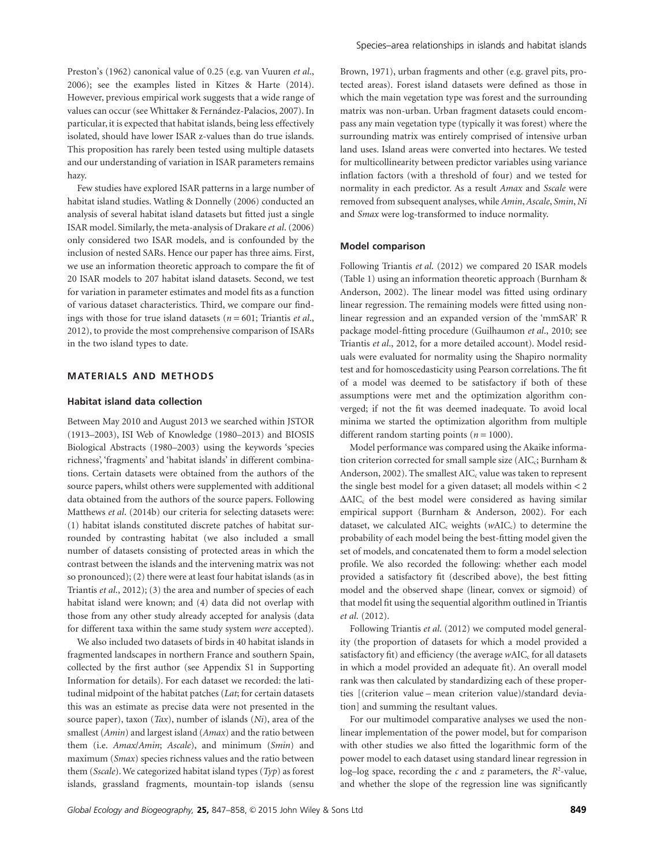Preston's (1962) canonical value of 0.25 (e.g. van Vuuren *et al*., 2006); see the examples listed in Kitzes & Harte (2014). However, previous empirical work suggests that a wide range of values can occur (see Whittaker & Fernández-Palacios, 2007). In particular, it is expected that habitat islands, being less effectively isolated, should have lower ISAR z-values than do true islands. This proposition has rarely been tested using multiple datasets and our understanding of variation in ISAR parameters remains hazy.

Few studies have explored ISAR patterns in a large number of habitat island studies. Watling & Donnelly (2006) conducted an analysis of several habitat island datasets but fitted just a single ISAR model. Similarly, the meta-analysis of Drakare *et al*. (2006) only considered two ISAR models, and is confounded by the inclusion of nested SARs. Hence our paper has three aims. First, we use an information theoretic approach to compare the fit of 20 ISAR models to 207 habitat island datasets. Second, we test for variation in parameter estimates and model fits as a function of various dataset characteristics. Third, we compare our findings with those for true island datasets (*n* = 601; Triantis *et al*., 2012), to provide the most comprehensive comparison of ISARs in the two island types to date.

## **MATERIALS AND METHODS**

## **Habitat island data collection**

Between May 2010 and August 2013 we searched within JSTOR (1913–2003), ISI Web of Knowledge (1980–2013) and BIOSIS Biological Abstracts (1980–2003) using the keywords 'species richness', 'fragments' and 'habitat islands' in different combinations. Certain datasets were obtained from the authors of the source papers, whilst others were supplemented with additional data obtained from the authors of the source papers. Following Matthews *et al*. (2014b) our criteria for selecting datasets were: (1) habitat islands constituted discrete patches of habitat surrounded by contrasting habitat (we also included a small number of datasets consisting of protected areas in which the contrast between the islands and the intervening matrix was not so pronounced); (2) there were at least four habitat islands (as in Triantis *et al*., 2012); (3) the area and number of species of each habitat island were known; and (4) data did not overlap with those from any other study already accepted for analysis (data for different taxa within the same study system *were* accepted).

We also included two datasets of birds in 40 habitat islands in fragmented landscapes in northern France and southern Spain, collected by the first author (see Appendix S1 in Supporting Information for details). For each dataset we recorded: the latitudinal midpoint of the habitat patches (*Lat*; for certain datasets this was an estimate as precise data were not presented in the source paper), taxon (*Tax*), number of islands (*Ni*), area of the smallest (*Amin*) and largest island (*Amax*) and the ratio between them (i.e. *Amax*/*Amin*; *Ascale*), and minimum (*Smin*) and maximum (*Smax*) species richness values and the ratio between them (*Sscale*). We categorized habitat island types (*Typ*) as forest islands, grassland fragments, mountain-top islands (sensu Brown, 1971), urban fragments and other (e.g. gravel pits, protected areas). Forest island datasets were defined as those in which the main vegetation type was forest and the surrounding matrix was non-urban. Urban fragment datasets could encompass any main vegetation type (typically it was forest) where the surrounding matrix was entirely comprised of intensive urban land uses. Island areas were converted into hectares. We tested for multicollinearity between predictor variables using variance inflation factors (with a threshold of four) and we tested for normality in each predictor. As a result *Amax* and *Sscale* were removed from subsequent analyses, while *Amin*, *Ascale*, *Smin*, *Ni* and *Smax* were log-transformed to induce normality.

#### **Model comparison**

Following Triantis *et al*. (2012) we compared 20 ISAR models (Table 1) using an information theoretic approach (Burnham & Anderson, 2002). The linear model was fitted using ordinary linear regression. The remaining models were fitted using nonlinear regression and an expanded version of the 'mmSAR' R package model-fitting procedure (Guilhaumon *et al*., 2010; see Triantis *et al*., 2012, for a more detailed account). Model residuals were evaluated for normality using the Shapiro normality test and for homoscedasticity using Pearson correlations. The fit of a model was deemed to be satisfactory if both of these assumptions were met and the optimization algorithm converged; if not the fit was deemed inadequate. To avoid local minima we started the optimization algorithm from multiple different random starting points  $(n = 1000)$ .

Model performance was compared using the Akaike information criterion corrected for small sample size (AIC<sub>c</sub>; Burnham & Anderson, 2002). The smallest  $AIC<sub>c</sub>$  value was taken to represent the single best model for a given dataset; all models within < 2  $\Delta AIC_c$  of the best model were considered as having similar empirical support (Burnham & Anderson, 2002). For each dataset, we calculated AIC<sub>c</sub> weights (wAIC<sub>c</sub>) to determine the probability of each model being the best-fitting model given the set of models, and concatenated them to form a model selection profile. We also recorded the following: whether each model provided a satisfactory fit (described above), the best fitting model and the observed shape (linear, convex or sigmoid) of that model fit using the sequential algorithm outlined in Triantis *et al*. (2012).

Following Triantis *et al*. (2012) we computed model generality (the proportion of datasets for which a model provided a satisfactory fit) and efficiency (the average  $wAIC_c$  for all datasets in which a model provided an adequate fit). An overall model rank was then calculated by standardizing each of these properties [(criterion value – mean criterion value)/standard deviation] and summing the resultant values.

For our multimodel comparative analyses we used the nonlinear implementation of the power model, but for comparison with other studies we also fitted the logarithmic form of the power model to each dataset using standard linear regression in log–log space, recording the *c* and *z* parameters, the *R*<sup>2</sup> -value, and whether the slope of the regression line was significantly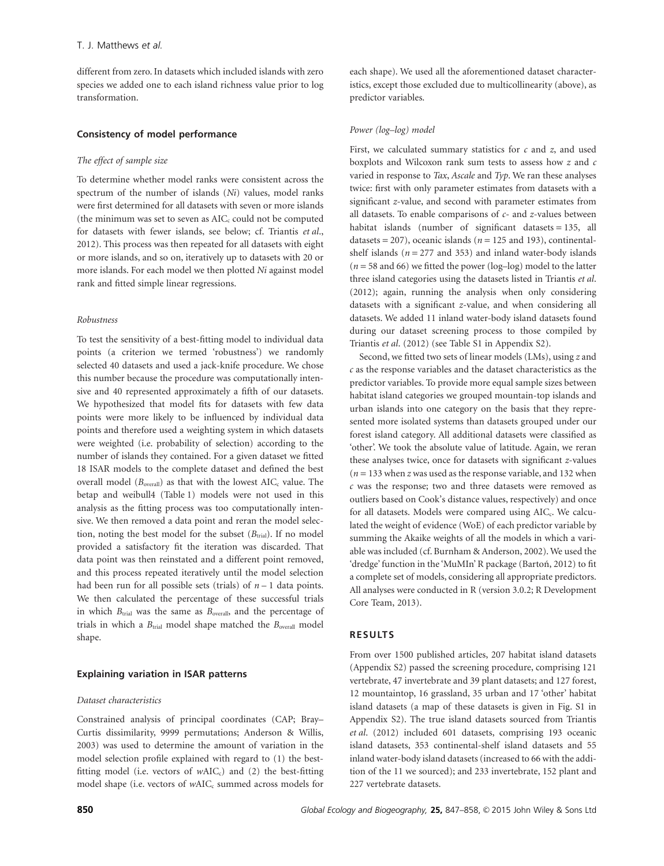different from zero. In datasets which included islands with zero species we added one to each island richness value prior to log transformation.

#### **Consistency of model performance**

## *The effect of sample size*

To determine whether model ranks were consistent across the spectrum of the number of islands (*Ni*) values, model ranks were first determined for all datasets with seven or more islands (the minimum was set to seven as  $AIC_c$  could not be computed for datasets with fewer islands, see below; cf. Triantis *et al*., 2012). This process was then repeated for all datasets with eight or more islands, and so on, iteratively up to datasets with 20 or more islands. For each model we then plotted *Ni* against model rank and fitted simple linear regressions.

## *Robustness*

To test the sensitivity of a best-fitting model to individual data points (a criterion we termed 'robustness') we randomly selected 40 datasets and used a jack-knife procedure. We chose this number because the procedure was computationally intensive and 40 represented approximately a fifth of our datasets. We hypothesized that model fits for datasets with few data points were more likely to be influenced by individual data points and therefore used a weighting system in which datasets were weighted (i.e. probability of selection) according to the number of islands they contained. For a given dataset we fitted 18 ISAR models to the complete dataset and defined the best overall model  $(B_{\text{overall}})$  as that with the lowest  $AIC_c$  value. The betap and weibull4 (Table 1) models were not used in this analysis as the fitting process was too computationally intensive. We then removed a data point and reran the model selection, noting the best model for the subset  $(B<sub>trial</sub>)$ . If no model provided a satisfactory fit the iteration was discarded. That data point was then reinstated and a different point removed, and this process repeated iteratively until the model selection had been run for all possible sets (trials) of  $n-1$  data points. We then calculated the percentage of these successful trials in which  $B_{\text{trial}}$  was the same as  $B_{\text{overall}}$ , and the percentage of trials in which a  $B_{\text{trial}}$  model shape matched the  $B_{\text{overall}}$  model shape.

# **Explaining variation in ISAR patterns**

#### *Dataset characteristics*

Constrained analysis of principal coordinates (CAP; Bray– Curtis dissimilarity, 9999 permutations; Anderson & Willis, 2003) was used to determine the amount of variation in the model selection profile explained with regard to (1) the bestfitting model (i.e. vectors of  $wAIC_c$ ) and (2) the best-fitting model shape (i.e. vectors of wAIC<sub>c</sub> summed across models for

each shape). We used all the aforementioned dataset characteristics, except those excluded due to multicollinearity (above), as predictor variables.

#### *Power (log–log) model*

First, we calculated summary statistics for *c* and *z*, and used boxplots and Wilcoxon rank sum tests to assess how *z* and *c* varied in response to *Tax*, *Ascale* and *Typ*. We ran these analyses twice: first with only parameter estimates from datasets with a significant *z*-value, and second with parameter estimates from all datasets. To enable comparisons of *c*- and *z*-values between habitat islands (number of significant datasets = 135, all datasets =  $207$ ), oceanic islands ( $n = 125$  and 193), continentalshelf islands (*n* = 277 and 353) and inland water-body islands  $(n = 58$  and 66) we fitted the power ( $log-log$ ) model to the latter three island categories using the datasets listed in Triantis *et al*. (2012); again, running the analysis when only considering datasets with a significant *z*-value, and when considering all datasets. We added 11 inland water-body island datasets found during our dataset screening process to those compiled by Triantis *et al*. (2012) (see Table S1 in Appendix S2).

Second, we fitted two sets of linear models (LMs), using *z* and *c* as the response variables and the dataset characteristics as the predictor variables. To provide more equal sample sizes between habitat island categories we grouped mountain-top islands and urban islands into one category on the basis that they represented more isolated systems than datasets grouped under our forest island category. All additional datasets were classified as 'other'. We took the absolute value of latitude. Again, we reran these analyses twice, once for datasets with significant *z*-values (*n* = 133 when *z* was used as the response variable, and 132 when *c* was the response; two and three datasets were removed as outliers based on Cook's distance values, respectively) and once for all datasets. Models were compared using AIC<sub>c</sub>. We calculated the weight of evidence (WoE) of each predictor variable by summing the Akaike weights of all the models in which a variable was included (cf. Burnham & Anderson, 2002). We used the 'dredge' function in the 'MuMIn' R package (Bartoń, 2012) to fit a complete set of models, considering all appropriate predictors. All analyses were conducted in R (version 3.0.2; R Development Core Team, 2013).

# **RESULTS**

From over 1500 published articles, 207 habitat island datasets (Appendix S2) passed the screening procedure, comprising 121 vertebrate, 47 invertebrate and 39 plant datasets; and 127 forest, 12 mountaintop, 16 grassland, 35 urban and 17 'other' habitat island datasets (a map of these datasets is given in Fig. S1 in Appendix S2). The true island datasets sourced from Triantis *et al*. (2012) included 601 datasets, comprising 193 oceanic island datasets, 353 continental-shelf island datasets and 55 inland water-body island datasets (increased to 66 with the addition of the 11 we sourced); and 233 invertebrate, 152 plant and 227 vertebrate datasets.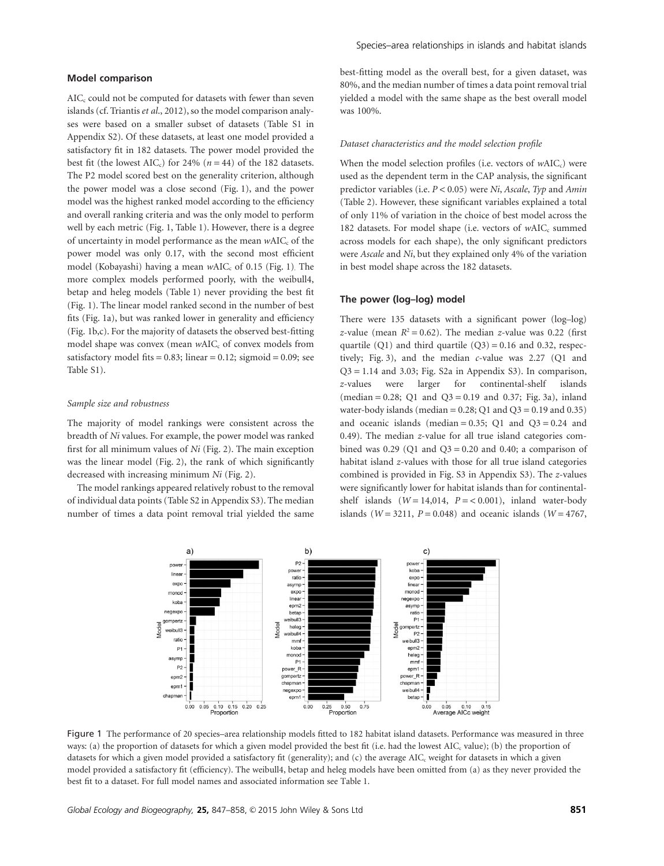#### **Model comparison**

AIC<sub>c</sub> could not be computed for datasets with fewer than seven islands (cf. Triantis *et al*., 2012), so the model comparison analyses were based on a smaller subset of datasets (Table S1 in Appendix S2). Of these datasets, at least one model provided a satisfactory fit in 182 datasets. The power model provided the best fit (the lowest  $AIC_c$ ) for 24% ( $n = 44$ ) of the 182 datasets. The P2 model scored best on the generality criterion, although the power model was a close second (Fig. 1), and the power model was the highest ranked model according to the efficiency and overall ranking criteria and was the only model to perform well by each metric (Fig. 1, Table 1). However, there is a degree of uncertainty in model performance as the mean *wAIC<sub>c</sub>* of the power model was only 0.17, with the second most efficient model (Kobayashi) having a mean *wAIC<sub>c</sub>* of 0.15 (Fig. 1). The more complex models performed poorly, with the weibull4, betap and heleg models (Table 1) never providing the best fit (Fig. 1). The linear model ranked second in the number of best fits (Fig. 1a), but was ranked lower in generality and efficiency (Fig. 1b,c). For the majority of datasets the observed best-fitting model shape was convex (mean *wAIC<sub>c</sub>* of convex models from satisfactory model fits =  $0.83$ ; linear =  $0.12$ ; sigmoid =  $0.09$ ; see Table S1).

#### *Sample size and robustness*

The majority of model rankings were consistent across the breadth of *Ni* values. For example, the power model was ranked first for all minimum values of *Ni* (Fig. 2). The main exception was the linear model (Fig. 2), the rank of which significantly decreased with increasing minimum *Ni* (Fig. 2).

The model rankings appeared relatively robust to the removal of individual data points (Table S2 in Appendix S3). The median number of times a data point removal trial yielded the same best-fitting model as the overall best, for a given dataset, was 80%, and the median number of times a data point removal trial yielded a model with the same shape as the best overall model was 100%.

## *Dataset characteristics and the model selection profile*

When the model selection profiles (i.e. vectors of *wAIC<sub>c</sub>*) were used as the dependent term in the CAP analysis, the significant predictor variables (i.e. *P* < 0.05) were *Ni*, *Ascale*, *Typ* and *Amin* (Table 2). However, these significant variables explained a total of only 11% of variation in the choice of best model across the 182 datasets. For model shape (i.e. vectors of wAIC<sub>c</sub> summed across models for each shape), the only significant predictors were *Ascale* and *Ni*, but they explained only 4% of the variation in best model shape across the 182 datasets.

## **The power (log–log) model**

There were 135 datasets with a significant power (log–log) *z*-value (mean  $R^2 = 0.62$ ). The median *z*-value was 0.22 (first quartile  $(Q1)$  and third quartile  $(Q3) = 0.16$  and 0.32, respectively; Fig. 3), and the median *c*-value was 2.27 (Q1 and  $Q3 = 1.14$  and 3.03; Fig. S2a in Appendix S3). In comparison, *z*-values were larger for continental-shelf islands  $(median = 0.28; Q1 and Q3 = 0.19 and 0.37; Fig. 3a), inland$ water-body islands (median =  $0.28$ ; Q1 and Q3 =  $0.19$  and  $0.35$ ) and oceanic islands (median =  $0.35$ ; Q1 and Q3 =  $0.24$  and 0.49). The median *z*-value for all true island categories combined was 0.29 (Q1 and  $Q3 = 0.20$  and 0.40; a comparison of habitat island *z*-values with those for all true island categories combined is provided in Fig. S3 in Appendix S3). The *z*-values were significantly lower for habitat islands than for continentalshelf islands  $(W = 14,014, P = 0.001)$ , inland water-body islands ( $W = 3211$ ,  $P = 0.048$ ) and oceanic islands ( $W = 4767$ ,



Figure 1 The performance of 20 species–area relationship models fitted to 182 habitat island datasets. Performance was measured in three ways: (a) the proportion of datasets for which a given model provided the best fit (i.e. had the lowest AIC<sub>c</sub> value); (b) the proportion of datasets for which a given model provided a satisfactory fit (generality); and (c) the average AIC<sub>c</sub> weight for datasets in which a given model provided a satisfactory fit (efficiency). The weibull4, betap and heleg models have been omitted from (a) as they never provided the best fit to a dataset. For full model names and associated information see Table 1.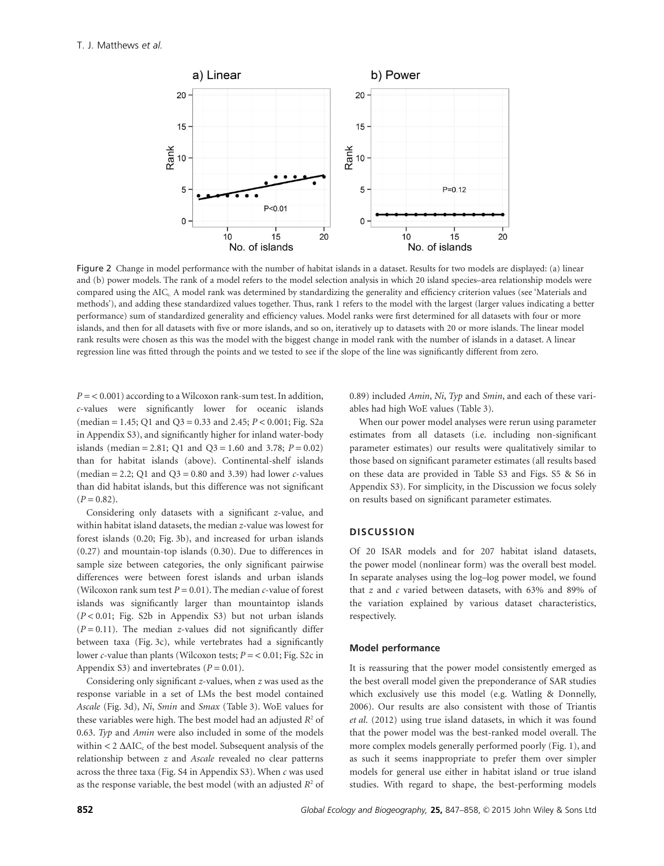

Figure 2 Change in model performance with the number of habitat islands in a dataset. Results for two models are displayed: (a) linear and (b) power models. The rank of a model refers to the model selection analysis in which 20 island species–area relationship models were compared using the AIC<sub>c</sub>. A model rank was determined by standardizing the generality and efficiency criterion values (see 'Materials and methods'), and adding these standardized values together. Thus, rank 1 refers to the model with the largest (larger values indicating a better performance) sum of standardized generality and efficiency values. Model ranks were first determined for all datasets with four or more islands, and then for all datasets with five or more islands, and so on, iteratively up to datasets with 20 or more islands. The linear model rank results were chosen as this was the model with the biggest change in model rank with the number of islands in a dataset. A linear regression line was fitted through the points and we tested to see if the slope of the line was significantly different from zero.

 $P = < 0.001$ ) according to a Wilcoxon rank-sum test. In addition, *c*-values were significantly lower for oceanic islands (median = 1.45; Q1 and Q3 = 0.33 and 2.45; *P* < 0.001; Fig. S2a in Appendix S3), and significantly higher for inland water-body islands (median = 2.81; Q1 and  $Q3 = 1.60$  and 3.78;  $P = 0.02$ ) than for habitat islands (above). Continental-shelf islands (median = 2.2; Q1 and Q3 = 0.80 and 3.39) had lower *c*-values than did habitat islands, but this difference was not significant  $(P = 0.82)$ .

Considering only datasets with a significant *z*-value, and within habitat island datasets, the median *z*-value was lowest for forest islands (0.20; Fig. 3b), and increased for urban islands (0.27) and mountain-top islands (0.30). Due to differences in sample size between categories, the only significant pairwise differences were between forest islands and urban islands (Wilcoxon rank sum test *P* = 0.01). The median *c*-value of forest islands was significantly larger than mountaintop islands (*P* < 0.01; Fig. S2b in Appendix S3) but not urban islands  $(P = 0.11)$ . The median *z*-values did not significantly differ between taxa (Fig. 3c), while vertebrates had a significantly lower *c*-value than plants (Wilcoxon tests; *P* = < 0.01; Fig. S2c in Appendix S3) and invertebrates  $(P = 0.01)$ .

Considering only significant *z*-values, when *z* was used as the response variable in a set of LMs the best model contained *Ascale* (Fig. 3d), *Ni*, *Smin* and *Smax* (Table 3). WoE values for these variables were high. The best model had an adjusted  $R^2$  of 0.63. *Typ* and *Amin* were also included in some of the models within  $< 2 \triangle AIC_c$  of the best model. Subsequent analysis of the relationship between *z* and *Ascale* revealed no clear patterns across the three taxa (Fig. S4 in Appendix S3). When *c* was used as the response variable, the best model (with an adjusted  $R^2$  of 0.89) included *Amin*, *Ni*, *Typ* and *Smin*, and each of these variables had high WoE values (Table 3).

When our power model analyses were rerun using parameter estimates from all datasets (i.e. including non-significant parameter estimates) our results were qualitatively similar to those based on significant parameter estimates (all results based on these data are provided in Table S3 and Figs. S5 & S6 in Appendix S3). For simplicity, in the Discussion we focus solely on results based on significant parameter estimates.

## **DISCUSSION**

Of 20 ISAR models and for 207 habitat island datasets, the power model (nonlinear form) was the overall best model. In separate analyses using the log–log power model, we found that *z* and *c* varied between datasets, with 63% and 89% of the variation explained by various dataset characteristics, respectively.

#### **Model performance**

It is reassuring that the power model consistently emerged as the best overall model given the preponderance of SAR studies which exclusively use this model (e.g. Watling & Donnelly, 2006). Our results are also consistent with those of Triantis *et al*. (2012) using true island datasets, in which it was found that the power model was the best-ranked model overall. The more complex models generally performed poorly (Fig. 1), and as such it seems inappropriate to prefer them over simpler models for general use either in habitat island or true island studies. With regard to shape, the best-performing models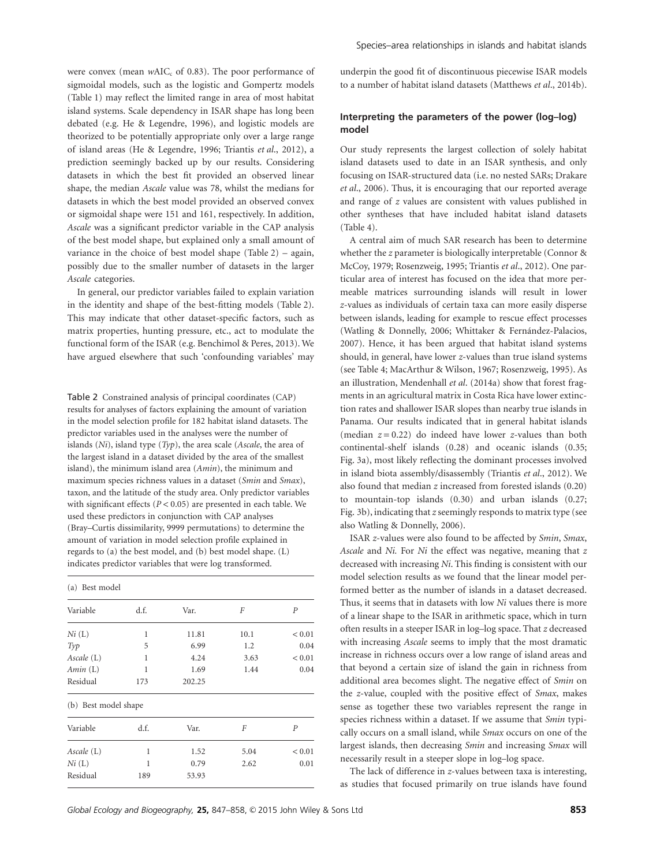were convex (mean *wAIC<sub>c</sub>* of 0.83). The poor performance of sigmoidal models, such as the logistic and Gompertz models (Table 1) may reflect the limited range in area of most habitat island systems. Scale dependency in ISAR shape has long been debated (e.g. He & Legendre, 1996), and logistic models are theorized to be potentially appropriate only over a large range of island areas (He & Legendre, 1996; Triantis *et al*., 2012), a prediction seemingly backed up by our results. Considering datasets in which the best fit provided an observed linear shape, the median *Ascale* value was 78, whilst the medians for datasets in which the best model provided an observed convex or sigmoidal shape were 151 and 161, respectively. In addition, *Ascale* was a significant predictor variable in the CAP analysis of the best model shape, but explained only a small amount of variance in the choice of best model shape (Table 2) – again, possibly due to the smaller number of datasets in the larger *Ascale* categories.

In general, our predictor variables failed to explain variation in the identity and shape of the best-fitting models (Table 2). This may indicate that other dataset-specific factors, such as matrix properties, hunting pressure, etc., act to modulate the functional form of the ISAR (e.g. Benchimol & Peres, 2013). We have argued elsewhere that such 'confounding variables' may

Table 2 Constrained analysis of principal coordinates (CAP) results for analyses of factors explaining the amount of variation in the model selection profile for 182 habitat island datasets. The predictor variables used in the analyses were the number of islands (*Ni*), island type (*Typ*), the area scale (*Ascale*, the area of the largest island in a dataset divided by the area of the smallest island), the minimum island area (*Amin*), the minimum and maximum species richness values in a dataset (*Smin* and *Smax*), taxon, and the latitude of the study area. Only predictor variables with significant effects (*P* < 0.05) are presented in each table. We used these predictors in conjunction with CAP analyses (Bray–Curtis dissimilarity, 9999 permutations) to determine the amount of variation in model selection profile explained in regards to (a) the best model, and (b) best model shape. (L) indicates predictor variables that were log transformed.

| (a) Best model |  |
|----------------|--|
|                |  |

| Variable<br>d.f.     |      | Var.         | F    | P           |
|----------------------|------|--------------|------|-------------|
| Ni(L)                | 1    | 11.81        | 10.1 | < 0.01      |
| 5<br>Type            |      | 6.99         | 1.2  | 0.04        |
| Ascale(L)<br>1       |      | 4.24         | 3.63 | ${}_{0.01}$ |
| $Amin$ (L)<br>1      |      | 1.69<br>1.44 |      | 0.04        |
| Residual             | 173  | 202.25       |      |             |
| (b) Best model shape |      |              |      |             |
| Variable             | d.f. | Var.         | F    | Р           |
| Ascale(L)<br>1       |      | 1.52         | 5.04 | < 0.01      |
| Ni(L)<br>1           |      | 0.79         | 2.62 | 0.01        |
| Residual             | 189  | 53.93        |      |             |

underpin the good fit of discontinuous piecewise ISAR models to a number of habitat island datasets (Matthews *et al*., 2014b).

## **Interpreting the parameters of the power (log–log) model**

Our study represents the largest collection of solely habitat island datasets used to date in an ISAR synthesis, and only focusing on ISAR-structured data (i.e. no nested SARs; Drakare *et al*., 2006). Thus, it is encouraging that our reported average and range of *z* values are consistent with values published in other syntheses that have included habitat island datasets (Table 4).

A central aim of much SAR research has been to determine whether the *z* parameter is biologically interpretable (Connor & McCoy, 1979; Rosenzweig, 1995; Triantis *et al*., 2012). One particular area of interest has focused on the idea that more permeable matrices surrounding islands will result in lower *z*-values as individuals of certain taxa can more easily disperse between islands, leading for example to rescue effect processes (Watling & Donnelly, 2006; Whittaker & Fernández-Palacios, 2007). Hence, it has been argued that habitat island systems should, in general, have lower *z*-values than true island systems (see Table 4; MacArthur & Wilson, 1967; Rosenzweig, 1995). As an illustration, Mendenhall *et al*. (2014a) show that forest fragments in an agricultural matrix in Costa Rica have lower extinction rates and shallower ISAR slopes than nearby true islands in Panama. Our results indicated that in general habitat islands (median  $z = 0.22$ ) do indeed have lower *z*-values than both continental-shelf islands (0.28) and oceanic islands (0.35; Fig. 3a), most likely reflecting the dominant processes involved in island biota assembly/disassembly (Triantis *et al*., 2012). We also found that median *z* increased from forested islands (0.20) to mountain-top islands (0.30) and urban islands (0.27; Fig. 3b), indicating that*z*seemingly responds to matrix type (see also Watling & Donnelly, 2006).

ISAR *z*-values were also found to be affected by *Smin*, *Smax*, *Ascale* and *Ni.* For *Ni* the effect was negative, meaning that *z* decreased with increasing *Ni*. This finding is consistent with our model selection results as we found that the linear model performed better as the number of islands in a dataset decreased. Thus, it seems that in datasets with low *Ni* values there is more of a linear shape to the ISAR in arithmetic space, which in turn often results in a steeper ISAR in log–log space. That *z* decreased with increasing *Ascale* seems to imply that the most dramatic increase in richness occurs over a low range of island areas and that beyond a certain size of island the gain in richness from additional area becomes slight. The negative effect of *Smin* on the *z*-value, coupled with the positive effect of *Smax*, makes sense as together these two variables represent the range in species richness within a dataset. If we assume that *Smin* typically occurs on a small island, while *Smax* occurs on one of the largest islands, then decreasing *Smin* and increasing *Smax* will necessarily result in a steeper slope in log–log space.

The lack of difference in *z*-values between taxa is interesting, as studies that focused primarily on true islands have found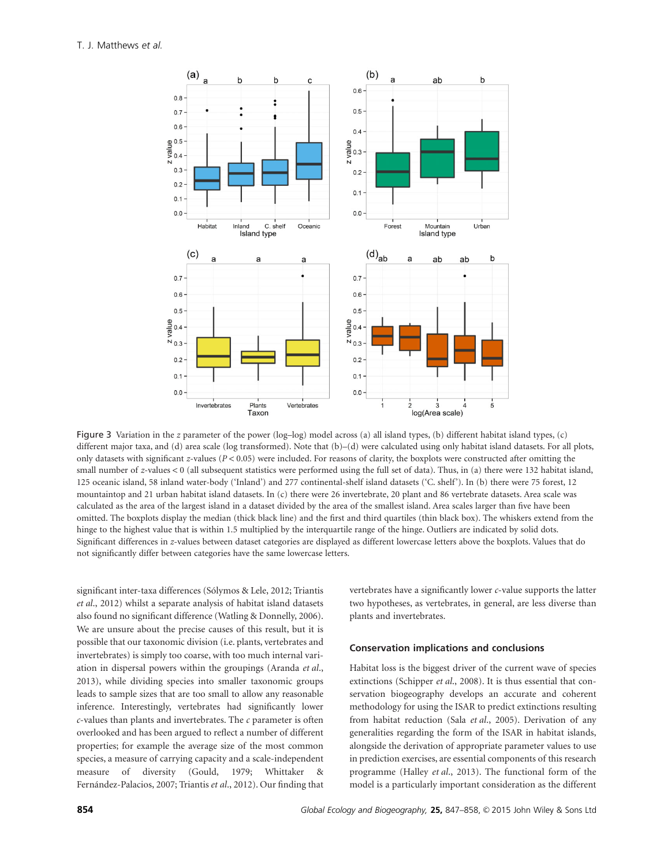

Figure 3 Variation in the *z* parameter of the power (log–log) model across (a) all island types, (b) different habitat island types, (c) different major taxa, and (d) area scale (log transformed). Note that (b)–(d) were calculated using only habitat island datasets. For all plots, only datasets with significant *z*-values (*P* < 0.05) were included. For reasons of clarity, the boxplots were constructed after omitting the small number of *z*-values < 0 (all subsequent statistics were performed using the full set of data). Thus, in (a) there were 132 habitat island, 125 oceanic island, 58 inland water-body ('Inland') and 277 continental-shelf island datasets ('C. shelf'). In (b) there were 75 forest, 12 mountaintop and 21 urban habitat island datasets. In (c) there were 26 invertebrate, 20 plant and 86 vertebrate datasets. Area scale was calculated as the area of the largest island in a dataset divided by the area of the smallest island. Area scales larger than five have been omitted. The boxplots display the median (thick black line) and the first and third quartiles (thin black box). The whiskers extend from the hinge to the highest value that is within 1.5 multiplied by the interquartile range of the hinge. Outliers are indicated by solid dots. Significant differences in *z*-values between dataset categories are displayed as different lowercase letters above the boxplots. Values that do not significantly differ between categories have the same lowercase letters.

significant inter-taxa differences (Sólymos & Lele, 2012; Triantis *et al*., 2012) whilst a separate analysis of habitat island datasets also found no significant difference (Watling & Donnelly, 2006). We are unsure about the precise causes of this result, but it is possible that our taxonomic division (i.e. plants, vertebrates and invertebrates) is simply too coarse, with too much internal variation in dispersal powers within the groupings (Aranda *et al*., 2013), while dividing species into smaller taxonomic groups leads to sample sizes that are too small to allow any reasonable inference. Interestingly, vertebrates had significantly lower *c*-values than plants and invertebrates. The *c* parameter is often overlooked and has been argued to reflect a number of different properties; for example the average size of the most common species, a measure of carrying capacity and a scale-independent measure of diversity (Gould, 1979; Whittaker & Fernández-Palacios, 2007; Triantis *et al*., 2012). Our finding that vertebrates have a significantly lower *c*-value supports the latter two hypotheses, as vertebrates, in general, are less diverse than plants and invertebrates.

#### **Conservation implications and conclusions**

Habitat loss is the biggest driver of the current wave of species extinctions (Schipper *et al*., 2008). It is thus essential that conservation biogeography develops an accurate and coherent methodology for using the ISAR to predict extinctions resulting from habitat reduction (Sala *et al*., 2005). Derivation of any generalities regarding the form of the ISAR in habitat islands, alongside the derivation of appropriate parameter values to use in prediction exercises, are essential components of this research programme (Halley *et al*., 2013). The functional form of the model is a particularly important consideration as the different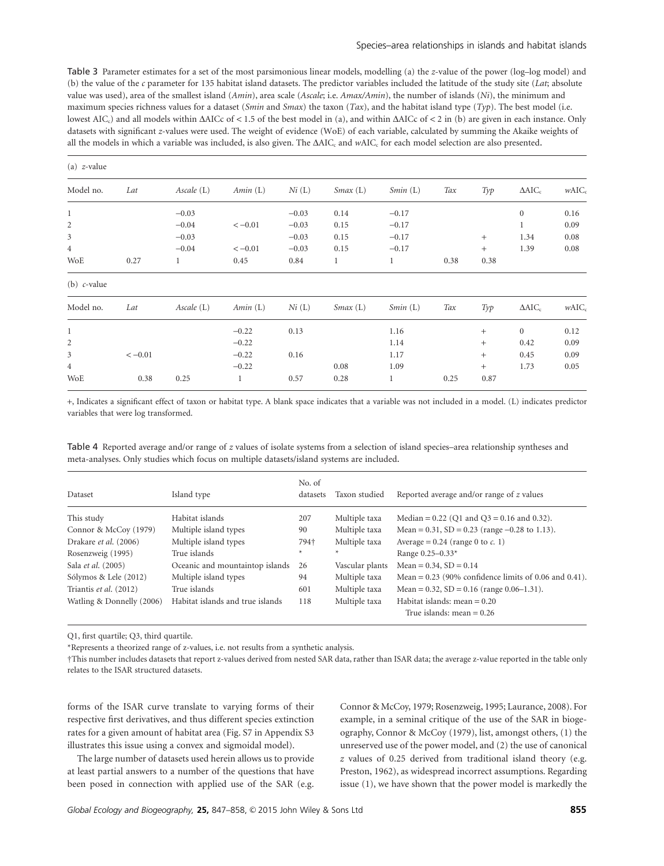Table 3 Parameter estimates for a set of the most parsimonious linear models, modelling (a) the *z*-value of the power (log–log model) and (b) the value of the *c* parameter for 135 habitat island datasets. The predictor variables included the latitude of the study site (*Lat*; absolute value was used), area of the smallest island (*Amin*), area scale (*Ascale*; i.e. *Amax/Amin*), the number of islands (*Ni*), the minimum and maximum species richness values for a dataset (*Smin* and *Smax*) the taxon (*Tax*), and the habitat island type (*Typ*). The best model (i.e. lowest AICc) and all models within ΔAICc of < 1.5 of the best model in (a), and within ΔAICc of < 2 in (b) are given in each instance. Only datasets with significant *z*-values were used. The weight of evidence (WoE) of each variable, calculated by summing the Akaike weights of all the models in which a variable was included, is also given. The ΔAIC<sub>c</sub> and *wAIC<sub>c</sub>* for each model selection are also presented.

| $(a)$ z-value  |          |            |              |         |         |             |      |        |                   |          |
|----------------|----------|------------|--------------|---------|---------|-------------|------|--------|-------------------|----------|
| Model no.      | Lat      | Ascale(L)  | $Amin$ (L)   | Ni(L)   | Smax(L) | Smin(L)     | Tax  | Type   | $\triangle AIC_c$ | $wAIC_c$ |
| $\mathbf{1}$   |          | $-0.03$    |              | $-0.03$ | 0.14    | $-0.17$     |      |        | $\mathbf{0}$      | 0.16     |
| $\mathbf{2}$   |          | $-0.04$    | $<-0.01$     | $-0.03$ | 0.15    | $-0.17$     |      |        | $\mathbf{1}$      | 0.09     |
| $\mathfrak{Z}$ |          | $-0.03$    |              | $-0.03$ | 0.15    | $-0.17$     |      | $^{+}$ | 1.34              | 0.08     |
| $\overline{4}$ |          | $-0.04$    | $<-0.01$     | $-0.03$ | 0.15    | $-0.17$     |      | $+$    | 1.39              | 0.08     |
| WoE            | 0.27     | 1          | 0.45         | 0.84    | 1       | 1           | 0.38 | 0.38   |                   |          |
| (b) $c$ -value |          |            |              |         |         |             |      |        |                   |          |
| Model no.      | Lat      | Ascale (L) | $Amin$ (L)   | Ni(L)   | Smax(L) | Smin(L)     | Tax  | Type   | $\triangle AIC_c$ | $wAIC_c$ |
| $\mathbf{1}$   |          |            | $-0.22$      | 0.13    |         | 1.16        |      | $^{+}$ | $\mathbf{0}$      | 0.12     |
| $\mathbf{2}$   |          |            | $-0.22$      |         |         | 1.14        |      | $^{+}$ | 0.42              | 0.09     |
| 3              | $<-0.01$ |            | $-0.22$      | 0.16    |         | 1.17        |      | $^{+}$ | 0.45              | 0.09     |
| $\overline{4}$ |          |            | $-0.22$      |         | 0.08    | 1.09        |      | $+$    | 1.73              | 0.05     |
| <b>WoE</b>     | 0.38     | 0.25       | $\mathbf{1}$ | 0.57    | 0.28    | $\mathbf 1$ | 0.25 | 0.87   |                   |          |

+, Indicates a significant effect of taxon or habitat type. A blank space indicates that a variable was not included in a model. (L) indicates predictor variables that were log transformed.

Table 4 Reported average and/or range of *z* values of isolate systems from a selection of island species–area relationship syntheses and meta-analyses. Only studies which focus on multiple datasets/island systems are included.

| Dataset                   | Island type                      | No. of<br>datasets | Taxon studied   | Reported average and/or range of z values                     |
|---------------------------|----------------------------------|--------------------|-----------------|---------------------------------------------------------------|
| This study                | Habitat islands                  | 207                | Multiple taxa   | Median = $0.22$ (Q1 and Q3 = 0.16 and 0.32).                  |
| Connor & McCoy (1979)     | Multiple island types            | 90                 | Multiple taxa   | Mean = $0.31$ , SD = $0.23$ (range $-0.28$ to 1.13).          |
| Drakare et al. (2006)     | Multiple island types            | 794†               | Multiple taxa   | Average = $0.24$ (range 0 to c. 1)                            |
| Rosenzweig (1995)         | True islands                     | $\ast$             | $\ast$          | Range $0.25 - 0.33*$                                          |
| Sala et al. (2005)        | Oceanic and mountaintop islands  | 26                 | Vascular plants | Mean = $0.34$ , SD = $0.14$                                   |
| Sólymos & Lele (2012)     | Multiple island types            | 94                 | Multiple taxa   | Mean = $0.23$ (90% confidence limits of 0.06 and 0.41).       |
| Triantis et al. (2012)    | True islands                     | 601                | Multiple taxa   | Mean = $0.32$ , SD = $0.16$ (range $0.06-1.31$ ).             |
| Watling & Donnelly (2006) | Habitat islands and true islands | 118                | Multiple taxa   | Habitat islands: mean $= 0.20$<br>True islands: mean $= 0.26$ |

Q1, first quartile; Q3, third quartile.

\*Represents a theorized range of z-values, i.e. not results from a synthetic analysis.

†This number includes datasets that report z-values derived from nested SAR data, rather than ISAR data; the average z-value reported in the table only relates to the ISAR structured datasets.

forms of the ISAR curve translate to varying forms of their respective first derivatives, and thus different species extinction rates for a given amount of habitat area (Fig. S7 in Appendix S3 illustrates this issue using a convex and sigmoidal model).

The large number of datasets used herein allows us to provide at least partial answers to a number of the questions that have been posed in connection with applied use of the SAR (e.g.

Connor & McCoy, 1979; Rosenzweig, 1995; Laurance, 2008). For example, in a seminal critique of the use of the SAR in biogeography, Connor & McCoy (1979), list, amongst others, (1) the unreserved use of the power model, and (2) the use of canonical *z* values of 0.25 derived from traditional island theory (e.g. Preston, 1962), as widespread incorrect assumptions. Regarding issue (1), we have shown that the power model is markedly the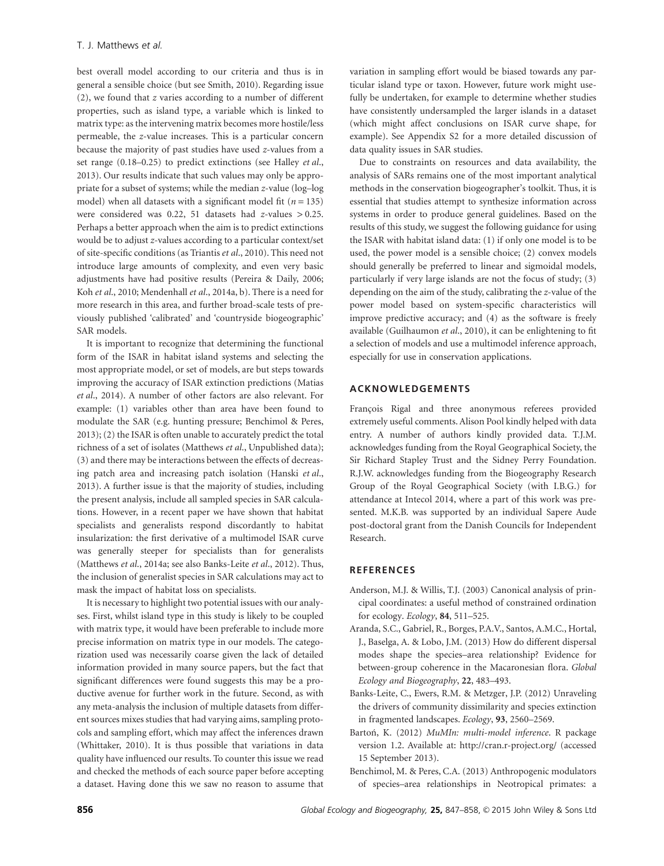best overall model according to our criteria and thus is in general a sensible choice (but see Smith, 2010). Regarding issue (2), we found that *z* varies according to a number of different properties, such as island type, a variable which is linked to matrix type: as the intervening matrix becomes more hostile/less permeable, the *z*-value increases. This is a particular concern because the majority of past studies have used *z*-values from a set range (0.18–0.25) to predict extinctions (see Halley *et al*., 2013). Our results indicate that such values may only be appropriate for a subset of systems; while the median *z*-value (log–log model) when all datasets with a significant model fit  $(n = 135)$ were considered was 0.22, 51 datasets had *z*-values > 0.25. Perhaps a better approach when the aim is to predict extinctions would be to adjust *z*-values according to a particular context/set of site-specific conditions (as Triantis *et al*., 2010). This need not introduce large amounts of complexity, and even very basic adjustments have had positive results (Pereira & Daily, 2006; Koh *et al*., 2010; Mendenhall *et al*., 2014a, b). There is a need for more research in this area, and further broad-scale tests of previously published 'calibrated' and 'countryside biogeographic' SAR models.

It is important to recognize that determining the functional form of the ISAR in habitat island systems and selecting the most appropriate model, or set of models, are but steps towards improving the accuracy of ISAR extinction predictions (Matias *et al*., 2014). A number of other factors are also relevant. For example: (1) variables other than area have been found to modulate the SAR (e.g. hunting pressure; Benchimol & Peres, 2013); (2) the ISAR is often unable to accurately predict the total richness of a set of isolates (Matthews *et al*., Unpublished data); (3) and there may be interactions between the effects of decreasing patch area and increasing patch isolation (Hanski *et al*., 2013). A further issue is that the majority of studies, including the present analysis, include all sampled species in SAR calculations. However, in a recent paper we have shown that habitat specialists and generalists respond discordantly to habitat insularization: the first derivative of a multimodel ISAR curve was generally steeper for specialists than for generalists (Matthews *et al*., 2014a; see also Banks-Leite *et al*., 2012). Thus, the inclusion of generalist species in SAR calculations may act to mask the impact of habitat loss on specialists.

It is necessary to highlight two potential issues with our analyses. First, whilst island type in this study is likely to be coupled with matrix type, it would have been preferable to include more precise information on matrix type in our models. The categorization used was necessarily coarse given the lack of detailed information provided in many source papers, but the fact that significant differences were found suggests this may be a productive avenue for further work in the future. Second, as with any meta-analysis the inclusion of multiple datasets from different sources mixes studies that had varying aims, sampling protocols and sampling effort, which may affect the inferences drawn (Whittaker, 2010). It is thus possible that variations in data quality have influenced our results. To counter this issue we read and checked the methods of each source paper before accepting a dataset. Having done this we saw no reason to assume that variation in sampling effort would be biased towards any particular island type or taxon. However, future work might usefully be undertaken, for example to determine whether studies have consistently undersampled the larger islands in a dataset (which might affect conclusions on ISAR curve shape, for example). See Appendix S2 for a more detailed discussion of data quality issues in SAR studies.

Due to constraints on resources and data availability, the analysis of SARs remains one of the most important analytical methods in the conservation biogeographer's toolkit. Thus, it is essential that studies attempt to synthesize information across systems in order to produce general guidelines. Based on the results of this study, we suggest the following guidance for using the ISAR with habitat island data: (1) if only one model is to be used, the power model is a sensible choice; (2) convex models should generally be preferred to linear and sigmoidal models, particularly if very large islands are not the focus of study; (3) depending on the aim of the study, calibrating the *z*-value of the power model based on system-specific characteristics will improve predictive accuracy; and (4) as the software is freely available (Guilhaumon *et al*., 2010), it can be enlightening to fit a selection of models and use a multimodel inference approach, especially for use in conservation applications.

# **ACKNOWLEDGEMENTS**

François Rigal and three anonymous referees provided extremely useful comments. Alison Pool kindly helped with data entry. A number of authors kindly provided data. T.J.M. acknowledges funding from the Royal Geographical Society, the Sir Richard Stapley Trust and the Sidney Perry Foundation. R.J.W. acknowledges funding from the Biogeography Research Group of the Royal Geographical Society (with I.B.G.) for attendance at Intecol 2014, where a part of this work was presented. M.K.B. was supported by an individual Sapere Aude post-doctoral grant from the Danish Councils for Independent Research.

## **REFERENCES**

- Anderson, M.J. & Willis, T.J. (2003) Canonical analysis of principal coordinates: a useful method of constrained ordination for ecology. *Ecology*, **84**, 511–525.
- Aranda, S.C., Gabriel, R., Borges, P.A.V., Santos, A.M.C., Hortal, J., Baselga, A. & Lobo, J.M. (2013) How do different dispersal modes shape the species–area relationship? Evidence for between-group coherence in the Macaronesian flora. *Global Ecology and Biogeography*, **22**, 483–493.
- Banks-Leite, C., Ewers, R.M. & Metzger, J.P. (2012) Unraveling the drivers of community dissimilarity and species extinction in fragmented landscapes. *Ecology*, **93**, 2560–2569.
- Bartoń, K. (2012) *MuMIn: multi-model inference*. R package version 1.2. Available at: http://cran.r-project.org/ (accessed 15 September 2013).
- Benchimol, M. & Peres, C.A. (2013) Anthropogenic modulators of species–area relationships in Neotropical primates: a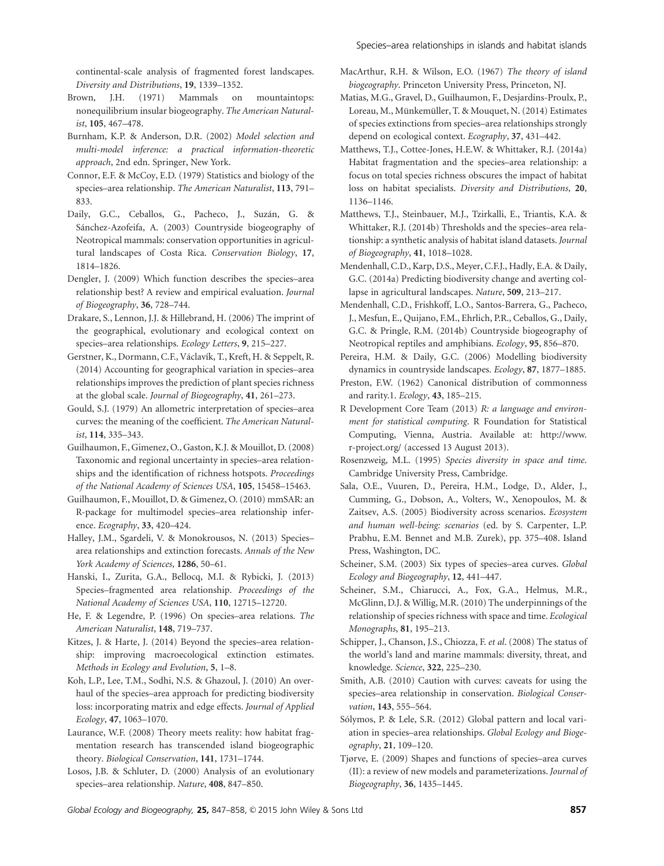continental-scale analysis of fragmented forest landscapes. *Diversity and Distributions*, **19**, 1339–1352.

- Brown, I.H. (1971) Mammals on mountaintops: nonequilibrium insular biogeography. *The American Naturalist*, **105**, 467–478.
- Burnham, K.P. & Anderson, D.R. (2002) *Model selection and multi-model inference: a practical information-theoretic approach*, 2nd edn. Springer, New York.
- Connor, E.F. & McCoy, E.D. (1979) Statistics and biology of the species–area relationship. *The American Naturalist*, **113**, 791– 833.
- Daily, G.C., Ceballos, G., Pacheco, J., Suzán, G. & Sánchez-Azofeifa, A. (2003) Countryside biogeography of Neotropical mammals: conservation opportunities in agricultural landscapes of Costa Rica. *Conservation Biology*, **17**, 1814–1826.
- Dengler, J. (2009) Which function describes the species–area relationship best? A review and empirical evaluation. *Journal of Biogeography*, **36**, 728–744.
- Drakare, S., Lennon, J.J. & Hillebrand, H. (2006) The imprint of the geographical, evolutionary and ecological context on species–area relationships. *Ecology Letters*, **9**, 215–227.
- Gerstner, K., Dormann, C.F., Václavík, T., Kreft, H. & Seppelt, R. (2014) Accounting for geographical variation in species–area relationships improves the prediction of plant species richness at the global scale. *Journal of Biogeography*, **41**, 261–273.
- Gould, S.J. (1979) An allometric interpretation of species–area curves: the meaning of the coefficient. *The American Naturalist*, **114**, 335–343.
- Guilhaumon, F., Gimenez, O., Gaston, K.J. & Mouillot, D. (2008) Taxonomic and regional uncertainty in species–area relationships and the identification of richness hotspots. *Proceedings of the National Academy of Sciences USA*, **105**, 15458–15463.
- Guilhaumon, F., Mouillot, D. & Gimenez, O. (2010) mmSAR: an R-package for multimodel species–area relationship inference. *Ecography*, **33**, 420–424.
- Halley, J.M., Sgardeli, V. & Monokrousos, N. (2013) Species– area relationships and extinction forecasts. *Annals of the New York Academy of Sciences*, **1286**, 50–61.
- Hanski, I., Zurita, G.A., Bellocq, M.I. & Rybicki, J. (2013) Species–fragmented area relationship. *Proceedings of the National Academy of Sciences USA*, **110**, 12715–12720.
- He, F. & Legendre, P. (1996) On species–area relations. *The American Naturalist*, **148**, 719–737.
- Kitzes, J. & Harte, J. (2014) Beyond the species–area relationship: improving macroecological extinction estimates. *Methods in Ecology and Evolution*, **5**, 1–8.
- Koh, L.P., Lee, T.M., Sodhi, N.S. & Ghazoul, J. (2010) An overhaul of the species–area approach for predicting biodiversity loss: incorporating matrix and edge effects. *Journal of Applied Ecology*, **47**, 1063–1070.
- Laurance, W.F. (2008) Theory meets reality: how habitat fragmentation research has transcended island biogeographic theory. *Biological Conservation*, **141**, 1731–1744.
- Losos, J.B. & Schluter, D. (2000) Analysis of an evolutionary species–area relationship. *Nature*, **408**, 847–850.

MacArthur, R.H. & Wilson, E.O. (1967) *The theory of island biogeography*. Princeton University Press, Princeton, NJ.

- Matias, M.G., Gravel, D., Guilhaumon, F., Desjardins-Proulx, P., Loreau, M., Münkemüller, T. & Mouquet, N. (2014) Estimates of species extinctions from species–area relationships strongly depend on ecological context. *Ecography*, **37**, 431–442.
- Matthews, T.J., Cottee-Jones, H.E.W. & Whittaker, R.J. (2014a) Habitat fragmentation and the species–area relationship: a focus on total species richness obscures the impact of habitat loss on habitat specialists. *Diversity and Distributions*, **20**, 1136–1146.
- Matthews, T.J., Steinbauer, M.J., Tzirkalli, E., Triantis, K.A. & Whittaker, R.J. (2014b) Thresholds and the species–area relationship: a synthetic analysis of habitat island datasets. *Journal of Biogeography*, **41**, 1018–1028.
- Mendenhall, C.D., Karp, D.S., Meyer, C.F.J., Hadly, E.A. & Daily, G.C. (2014a) Predicting biodiversity change and averting collapse in agricultural landscapes. *Nature*, **509**, 213–217.
- Mendenhall, C.D., Frishkoff, L.O., Santos-Barrera, G., Pacheco, J., Mesfun, E., Quijano, F.M., Ehrlich, P.R., Ceballos, G., Daily, G.C. & Pringle, R.M. (2014b) Countryside biogeography of Neotropical reptiles and amphibians. *Ecology*, **95**, 856–870.
- Pereira, H.M. & Daily, G.C. (2006) Modelling biodiversity dynamics in countryside landscapes. *Ecology*, **87**, 1877–1885.
- Preston, F.W. (1962) Canonical distribution of commonness and rarity.1. *Ecology*, **43**, 185–215.
- R Development Core Team (2013) *R: a language and environment for statistical computing*. R Foundation for Statistical Computing, Vienna, Austria. Available at: http://www. r-project.org/ (accessed 13 August 2013).
- Rosenzweig, M.L. (1995) *Species diversity in space and time*. Cambridge University Press, Cambridge.
- Sala, O.E., Vuuren, D., Pereira, H.M., Lodge, D., Alder, J., Cumming, G., Dobson, A., Volters, W., Xenopoulos, M. & Zaitsev, A.S. (2005) Biodiversity across scenarios. *Ecosystem and human well-being: scenarios* (ed. by S. Carpenter, L.P. Prabhu, E.M. Bennet and M.B. Zurek), pp. 375–408. Island Press, Washington, DC.
- Scheiner, S.M. (2003) Six types of species–area curves. *Global Ecology and Biogeography*, **12**, 441–447.
- Scheiner, S.M., Chiarucci, A., Fox, G.A., Helmus, M.R., McGlinn, D.J. & Willig, M.R. (2010) The underpinnings of the relationship of species richness with space and time. *Ecological Monographs*, **81**, 195–213.
- Schipper, J., Chanson, J.S., Chiozza, F. *et al*. (2008) The status of the world's land and marine mammals: diversity, threat, and knowledge. *Science*, **322**, 225–230.
- Smith, A.B. (2010) Caution with curves: caveats for using the species–area relationship in conservation. *Biological Conservation*, **143**, 555–564.
- Sólymos, P. & Lele, S.R. (2012) Global pattern and local variation in species–area relationships. *Global Ecology and Biogeography*, **21**, 109–120.
- Tjørve, E. (2009) Shapes and functions of species–area curves (II): a review of new models and parameterizations. *Journal of Biogeography*, **36**, 1435–1445.